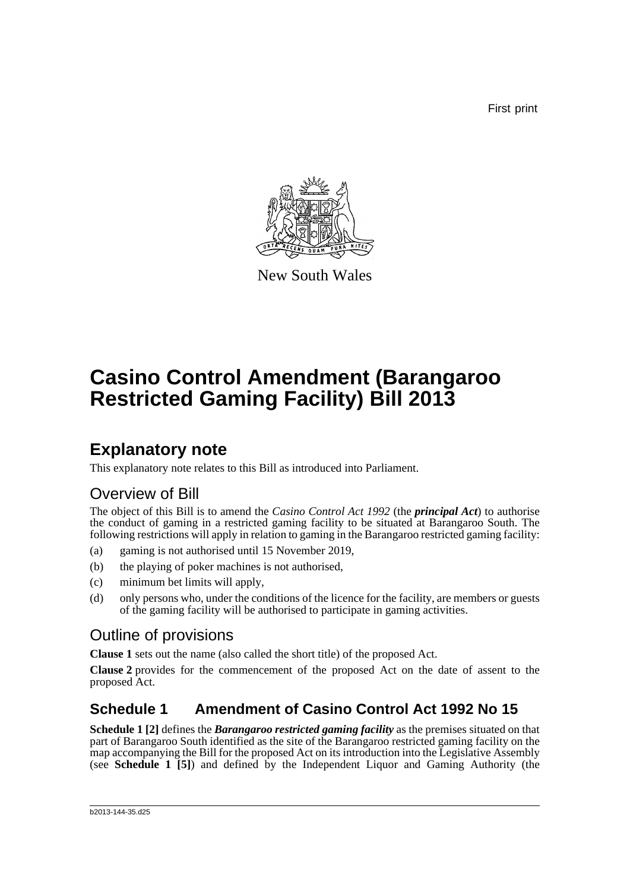First print



New South Wales

# **Casino Control Amendment (Barangaroo Restricted Gaming Facility) Bill 2013**

### **Explanatory note**

This explanatory note relates to this Bill as introduced into Parliament.

### Overview of Bill

The object of this Bill is to amend the *Casino Control Act 1992* (the *principal Act*) to authorise the conduct of gaming in a restricted gaming facility to be situated at Barangaroo South. The following restrictions will apply in relation to gaming in the Barangaroo restricted gaming facility:

- (a) gaming is not authorised until 15 November 2019,
- (b) the playing of poker machines is not authorised,
- (c) minimum bet limits will apply,
- (d) only persons who, under the conditions of the licence for the facility, are members or guests of the gaming facility will be authorised to participate in gaming activities.

### Outline of provisions

**Clause 1** sets out the name (also called the short title) of the proposed Act.

**Clause 2** provides for the commencement of the proposed Act on the date of assent to the proposed Act.

#### **Schedule 1 Amendment of Casino Control Act 1992 No 15**

**Schedule 1 [2]** defines the *Barangaroo restricted gaming facility* as the premises situated on that part of Barangaroo South identified as the site of the Barangaroo restricted gaming facility on the map accompanying the Bill for the proposed Act on its introduction into the Legislative Assembly (see **Schedule 1 [5]**) and defined by the Independent Liquor and Gaming Authority (the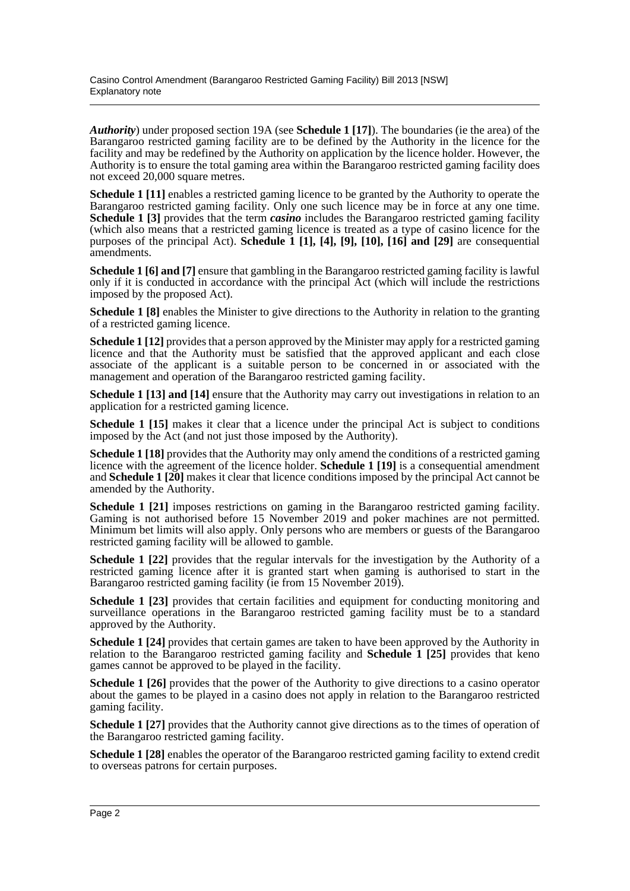*Authority*) under proposed section 19A (see **Schedule 1 [17]**). The boundaries (ie the area) of the Barangaroo restricted gaming facility are to be defined by the Authority in the licence for the facility and may be redefined by the Authority on application by the licence holder. However, the Authority is to ensure the total gaming area within the Barangaroo restricted gaming facility does not exceed 20,000 square metres.

**Schedule 1 [11]** enables a restricted gaming licence to be granted by the Authority to operate the Barangaroo restricted gaming facility. Only one such licence may be in force at any one time. **Schedule 1 [3]** provides that the term *casino* includes the Barangaroo restricted gaming facility (which also means that a restricted gaming licence is treated as a type of casino licence for the purposes of the principal Act). **Schedule 1 [1], [4], [9], [10], [16] and [29]** are consequential amendments.

**Schedule 1 [6] and [7]** ensure that gambling in the Barangaroo restricted gaming facility is lawful only if it is conducted in accordance with the principal Act (which will include the restrictions imposed by the proposed Act).

**Schedule 1 [8]** enables the Minister to give directions to the Authority in relation to the granting of a restricted gaming licence.

**Schedule 1 [12]** provides that a person approved by the Minister may apply for a restricted gaming licence and that the Authority must be satisfied that the approved applicant and each close associate of the applicant is a suitable person to be concerned in or associated with the management and operation of the Barangaroo restricted gaming facility.

**Schedule 1 [13] and [14]** ensure that the Authority may carry out investigations in relation to an application for a restricted gaming licence.

**Schedule 1 [15]** makes it clear that a licence under the principal Act is subject to conditions imposed by the Act (and not just those imposed by the Authority).

**Schedule 1 [18]** provides that the Authority may only amend the conditions of a restricted gaming licence with the agreement of the licence holder. **Schedule 1 [19]** is a consequential amendment and **Schedule 1 [20]** makes it clear that licence conditions imposed by the principal Act cannot be amended by the Authority.

**Schedule 1 [21]** imposes restrictions on gaming in the Barangaroo restricted gaming facility. Gaming is not authorised before 15 November 2019 and poker machines are not permitted. Minimum bet limits will also apply. Only persons who are members or guests of the Barangaroo restricted gaming facility will be allowed to gamble.

**Schedule 1 [22]** provides that the regular intervals for the investigation by the Authority of a restricted gaming licence after it is granted start when gaming is authorised to start in the Barangaroo restricted gaming facility (ie from 15 November 2019).

**Schedule 1 [23]** provides that certain facilities and equipment for conducting monitoring and surveillance operations in the Barangaroo restricted gaming facility must be to a standard approved by the Authority.

**Schedule 1 [24]** provides that certain games are taken to have been approved by the Authority in relation to the Barangaroo restricted gaming facility and **Schedule 1 [25]** provides that keno games cannot be approved to be played in the facility.

**Schedule 1 [26]** provides that the power of the Authority to give directions to a casino operator about the games to be played in a casino does not apply in relation to the Barangaroo restricted gaming facility.

**Schedule 1 [27]** provides that the Authority cannot give directions as to the times of operation of the Barangaroo restricted gaming facility.

**Schedule 1 [28]** enables the operator of the Barangaroo restricted gaming facility to extend credit to overseas patrons for certain purposes.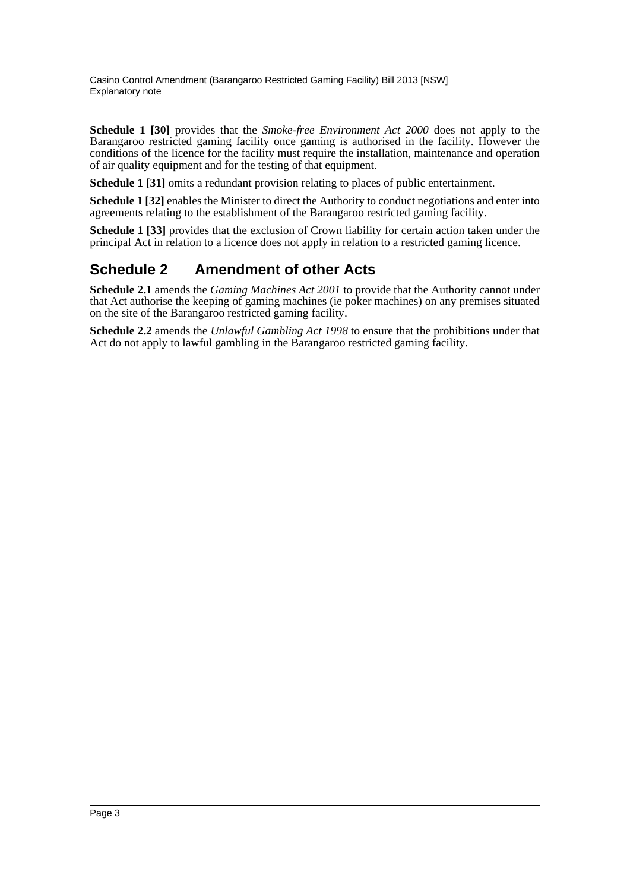**Schedule 1 [30]** provides that the *Smoke-free Environment Act 2000* does not apply to the Barangaroo restricted gaming facility once gaming is authorised in the facility. However the conditions of the licence for the facility must require the installation, maintenance and operation of air quality equipment and for the testing of that equipment.

**Schedule 1 [31]** omits a redundant provision relating to places of public entertainment.

**Schedule 1 [32]** enables the Minister to direct the Authority to conduct negotiations and enter into agreements relating to the establishment of the Barangaroo restricted gaming facility.

**Schedule 1 [33]** provides that the exclusion of Crown liability for certain action taken under the principal Act in relation to a licence does not apply in relation to a restricted gaming licence.

#### **Schedule 2 Amendment of other Acts**

**Schedule 2.1** amends the *Gaming Machines Act 2001* to provide that the Authority cannot under that Act authorise the keeping of gaming machines (ie poker machines) on any premises situated on the site of the Barangaroo restricted gaming facility.

**Schedule 2.2** amends the *Unlawful Gambling Act 1998* to ensure that the prohibitions under that Act do not apply to lawful gambling in the Barangaroo restricted gaming facility.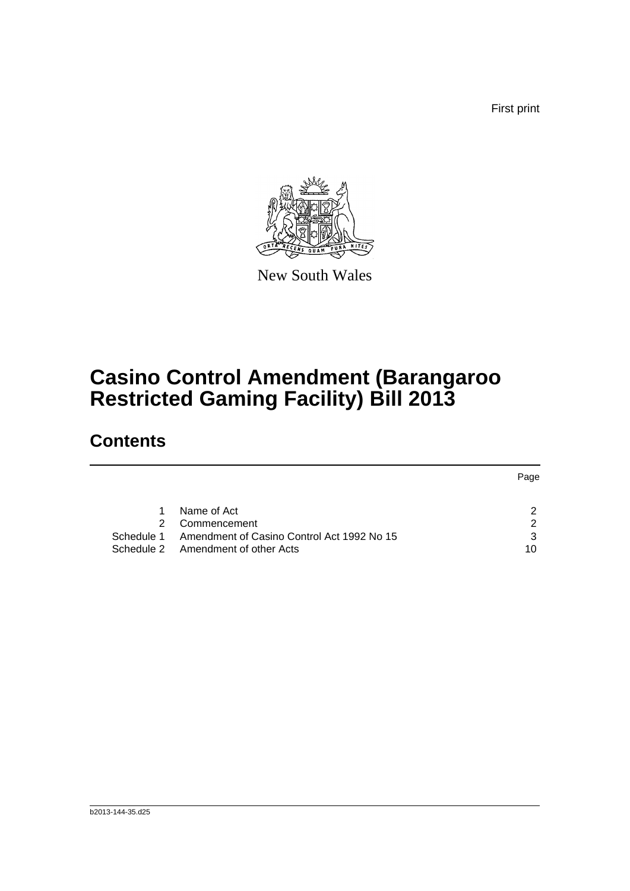First print



New South Wales

## **Casino Control Amendment (Barangaroo Restricted Gaming Facility) Bill 2013**

### **Contents**

|               |                                            | Page |
|---------------|--------------------------------------------|------|
|               |                                            |      |
| 1             | Name of Act                                | ົ    |
| $\mathcal{P}$ | Commencement                               | 2    |
| Schedule 1    | Amendment of Casino Control Act 1992 No 15 | 3    |
|               | Schedule 2 Amendment of other Acts         | 10   |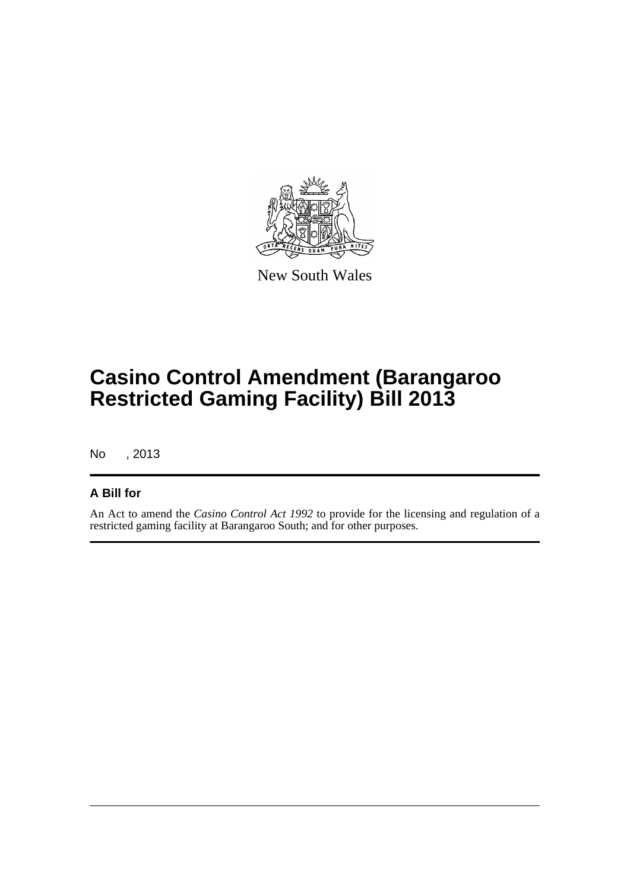

New South Wales

## **Casino Control Amendment (Barangaroo Restricted Gaming Facility) Bill 2013**

No , 2013

#### **A Bill for**

An Act to amend the *Casino Control Act 1992* to provide for the licensing and regulation of a restricted gaming facility at Barangaroo South; and for other purposes.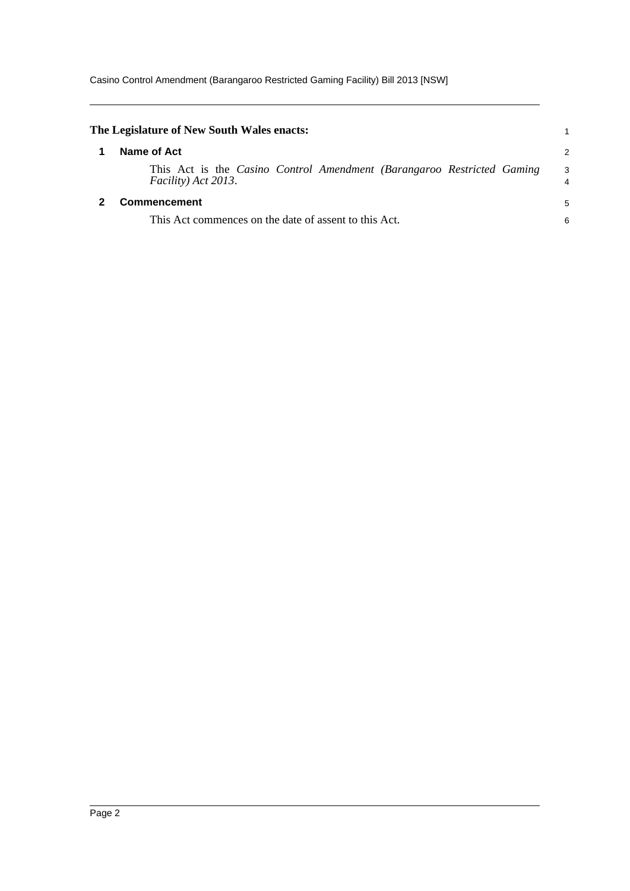<span id="page-5-1"></span><span id="page-5-0"></span>

| The Legislature of New South Wales enacts:                                                    |   |
|-----------------------------------------------------------------------------------------------|---|
| Name of Act                                                                                   | 2 |
| This Act is the Casino Control Amendment (Barangaroo Restricted Gaming<br>Facility) Act 2013. | 3 |
| Commencement                                                                                  | 5 |
| This Act commences on the date of assent to this Act.                                         | 6 |
|                                                                                               |   |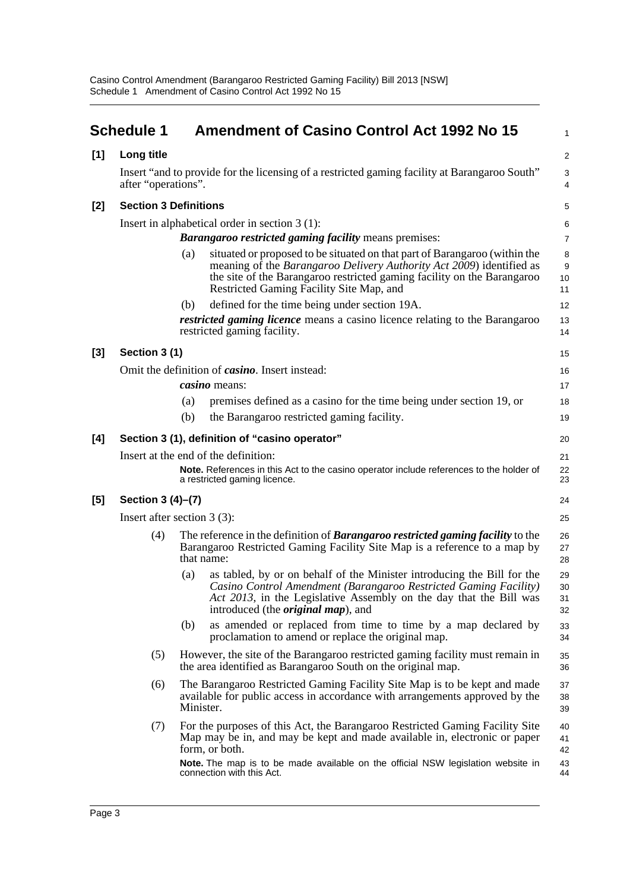<span id="page-6-0"></span>

|       | <b>Schedule 1</b>             |           | <b>Amendment of Casino Control Act 1992 No 15</b>                                                                                                                                                                                                                         | 1                                 |
|-------|-------------------------------|-----------|---------------------------------------------------------------------------------------------------------------------------------------------------------------------------------------------------------------------------------------------------------------------------|-----------------------------------|
| [1]   | Long title                    |           |                                                                                                                                                                                                                                                                           | 2                                 |
|       | after "operations".           |           | Insert "and to provide for the licensing of a restricted gaming facility at Barangaroo South"                                                                                                                                                                             | 3<br>4                            |
| $[2]$ | <b>Section 3 Definitions</b>  |           |                                                                                                                                                                                                                                                                           | 5                                 |
|       |                               |           | Insert in alphabetical order in section 3 (1):                                                                                                                                                                                                                            | 6                                 |
|       |                               |           | <b>Barangaroo restricted gaming facility means premises:</b>                                                                                                                                                                                                              | $\overline{7}$                    |
|       |                               | (a)       | situated or proposed to be situated on that part of Barangaroo (within the<br>meaning of the Barangaroo Delivery Authority Act 2009) identified as<br>the site of the Barangaroo restricted gaming facility on the Barangaroo<br>Restricted Gaming Facility Site Map, and | 8<br>$\boldsymbol{9}$<br>10<br>11 |
|       |                               | (b)       | defined for the time being under section 19A.                                                                                                                                                                                                                             | 12                                |
|       |                               |           | <i>restricted gaming licence</i> means a casino licence relating to the Barangaroo<br>restricted gaming facility.                                                                                                                                                         | 13<br>14                          |
| $[3]$ | Section 3 (1)                 |           |                                                                                                                                                                                                                                                                           | 15                                |
|       |                               |           | Omit the definition of <i>casino</i> . Insert instead:                                                                                                                                                                                                                    | 16                                |
|       |                               |           | <i>casino</i> means:                                                                                                                                                                                                                                                      | 17                                |
|       |                               | (a)       | premises defined as a casino for the time being under section 19, or                                                                                                                                                                                                      | 18                                |
|       |                               | (b)       | the Barangaroo restricted gaming facility.                                                                                                                                                                                                                                | 19                                |
| [4]   |                               |           | Section 3 (1), definition of "casino operator"                                                                                                                                                                                                                            | 20                                |
|       |                               |           | Insert at the end of the definition:                                                                                                                                                                                                                                      | 21                                |
|       |                               |           | Note. References in this Act to the casino operator include references to the holder of<br>a restricted gaming licence.                                                                                                                                                   | 22<br>23                          |
| [5]   | Section 3 (4)–(7)             |           |                                                                                                                                                                                                                                                                           | 24                                |
|       | Insert after section $3(3)$ : |           |                                                                                                                                                                                                                                                                           | 25                                |
|       | (4)                           |           | The reference in the definition of <b>Barangaroo restricted gaming facility</b> to the<br>Barangaroo Restricted Gaming Facility Site Map is a reference to a map by<br>that name:                                                                                         | 26<br>27<br>28                    |
|       |                               | (a)       | as tabled, by or on behalf of the Minister introducing the Bill for the<br>Casino Control Amendment (Barangaroo Restricted Gaming Facility)<br>Act 2013, in the Legislative Assembly on the day that the Bill was<br>introduced (the <i>original map</i> ), and           | 29<br>30<br>31<br>32              |
|       |                               | (b)       | as amended or replaced from time to time by a map declared by<br>proclamation to amend or replace the original map.                                                                                                                                                       | 33<br>34                          |
|       | (5)                           |           | However, the site of the Barangaroo restricted gaming facility must remain in<br>the area identified as Barangaroo South on the original map.                                                                                                                             | 35<br>36                          |
|       | (6)                           | Minister. | The Barangaroo Restricted Gaming Facility Site Map is to be kept and made<br>available for public access in accordance with arrangements approved by the                                                                                                                  | 37<br>38<br>39                    |
|       | (7)                           |           | For the purposes of this Act, the Barangaroo Restricted Gaming Facility Site<br>Map may be in, and may be kept and made available in, electronic or paper<br>form, or both.                                                                                               | 40<br>41<br>42                    |
|       |                               |           | Note. The map is to be made available on the official NSW legislation website in<br>connection with this Act.                                                                                                                                                             | 43<br>44                          |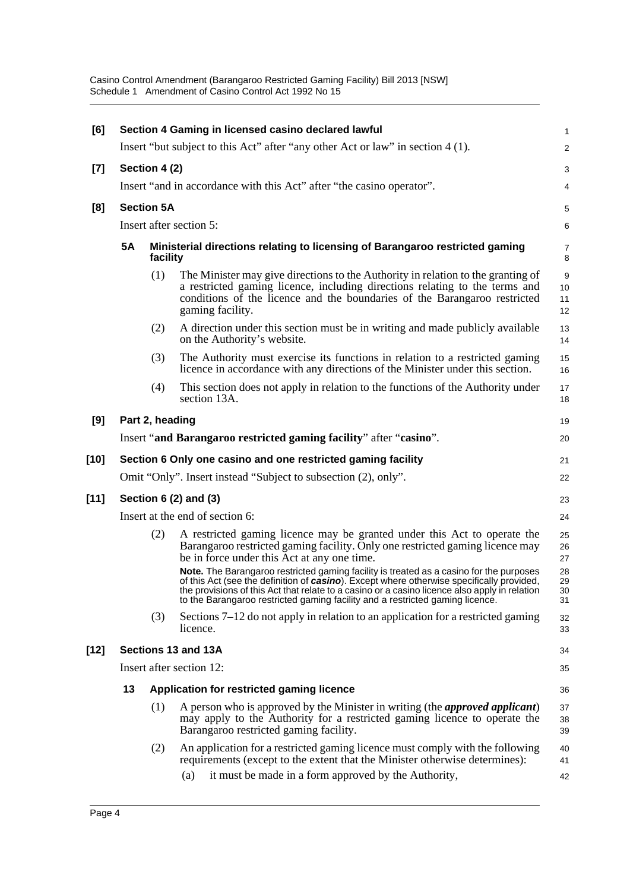Casino Control Amendment (Barangaroo Restricted Gaming Facility) Bill 2013 [NSW] Schedule 1 Amendment of Casino Control Act 1992 No 15

| [6]    |               |                   | Section 4 Gaming in licensed casino declared lawful                                                                                                                                                                                                                                                                                                                            | 1                    |  |
|--------|---------------|-------------------|--------------------------------------------------------------------------------------------------------------------------------------------------------------------------------------------------------------------------------------------------------------------------------------------------------------------------------------------------------------------------------|----------------------|--|
|        |               |                   | Insert "but subject to this Act" after "any other Act or law" in section 4 (1).                                                                                                                                                                                                                                                                                                | 2                    |  |
| $[7]$  | Section 4 (2) |                   |                                                                                                                                                                                                                                                                                                                                                                                |                      |  |
|        |               |                   | Insert "and in accordance with this Act" after "the casino operator".                                                                                                                                                                                                                                                                                                          | 4                    |  |
| [8]    |               | <b>Section 5A</b> |                                                                                                                                                                                                                                                                                                                                                                                | 5                    |  |
|        |               |                   | Insert after section 5:                                                                                                                                                                                                                                                                                                                                                        | 6                    |  |
|        | 5A            | facility          | Ministerial directions relating to licensing of Barangaroo restricted gaming                                                                                                                                                                                                                                                                                                   | $\overline{7}$<br>8  |  |
|        |               | (1)               | The Minister may give directions to the Authority in relation to the granting of<br>a restricted gaming licence, including directions relating to the terms and<br>conditions of the licence and the boundaries of the Barangaroo restricted<br>gaming facility.                                                                                                               | 9<br>10<br>11<br>12  |  |
|        |               | (2)               | A direction under this section must be in writing and made publicly available<br>on the Authority's website.                                                                                                                                                                                                                                                                   | 13<br>14             |  |
|        |               | (3)               | The Authority must exercise its functions in relation to a restricted gaming<br>licence in accordance with any directions of the Minister under this section.                                                                                                                                                                                                                  | 15<br>16             |  |
|        |               | (4)               | This section does not apply in relation to the functions of the Authority under<br>section 13A.                                                                                                                                                                                                                                                                                | 17<br>18             |  |
| [9]    |               | Part 2, heading   |                                                                                                                                                                                                                                                                                                                                                                                | 19                   |  |
|        |               |                   | Insert "and Barangaroo restricted gaming facility" after "casino".                                                                                                                                                                                                                                                                                                             | 20                   |  |
| [10]   |               |                   | Section 6 Only one casino and one restricted gaming facility                                                                                                                                                                                                                                                                                                                   | 21                   |  |
|        |               |                   | Omit "Only". Insert instead "Subject to subsection (2), only".                                                                                                                                                                                                                                                                                                                 | 22                   |  |
| $[11]$ |               |                   | Section 6 (2) and (3)                                                                                                                                                                                                                                                                                                                                                          | 23                   |  |
|        |               |                   | Insert at the end of section 6:                                                                                                                                                                                                                                                                                                                                                | 24                   |  |
|        |               | (2)               | A restricted gaming licence may be granted under this Act to operate the<br>Barangaroo restricted gaming facility. Only one restricted gaming licence may<br>be in force under this Act at any one time.                                                                                                                                                                       | 25<br>26<br>27       |  |
|        |               |                   | Note. The Barangaroo restricted gaming facility is treated as a casino for the purposes<br>of this Act (see the definition of <i>casino</i> ). Except where otherwise specifically provided,<br>the provisions of this Act that relate to a casino or a casino licence also apply in relation<br>to the Barangaroo restricted gaming facility and a restricted gaming licence. | 28<br>29<br>30<br>31 |  |
|        |               | (3)               | Sections $7-12$ do not apply in relation to an application for a restricted gaming<br>licence.                                                                                                                                                                                                                                                                                 | 32<br>33             |  |
| $[12]$ |               |                   | Sections 13 and 13A                                                                                                                                                                                                                                                                                                                                                            | 34                   |  |
|        |               |                   | Insert after section 12:                                                                                                                                                                                                                                                                                                                                                       | 35                   |  |
|        | 13            |                   | Application for restricted gaming licence                                                                                                                                                                                                                                                                                                                                      | 36                   |  |
|        |               | (1)               | A person who is approved by the Minister in writing (the <i>approved applicant</i> )<br>may apply to the Authority for a restricted gaming licence to operate the<br>Barangaroo restricted gaming facility.                                                                                                                                                                    | 37<br>38<br>39       |  |
|        |               | (2)               | An application for a restricted gaming licence must comply with the following<br>requirements (except to the extent that the Minister otherwise determines):<br>it must be made in a form approved by the Authority,<br>(a)                                                                                                                                                    | 40<br>41<br>42       |  |
|        |               |                   |                                                                                                                                                                                                                                                                                                                                                                                |                      |  |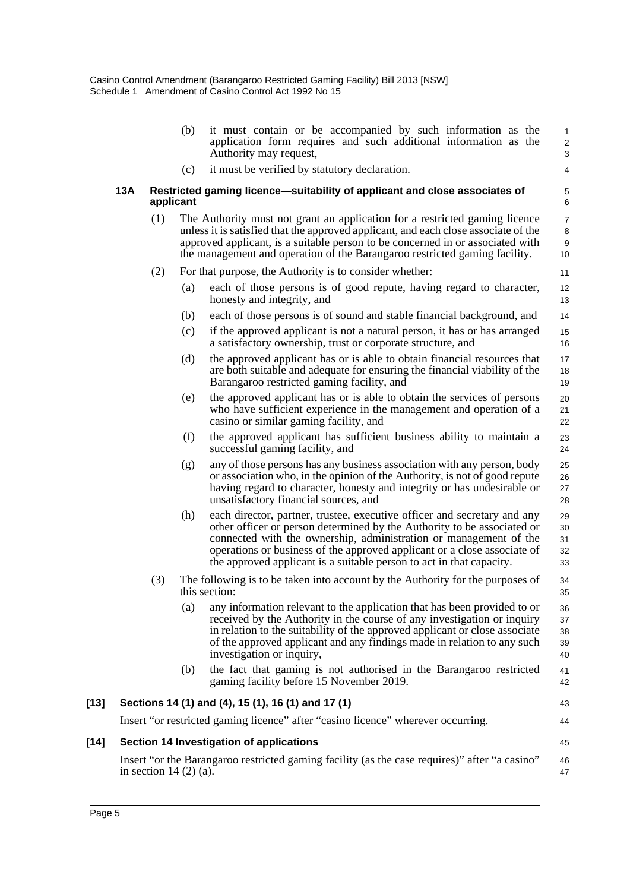|        |                         | (b)       | it must contain or be accompanied by such information as the<br>application form requires and such additional information as the<br>Authority may request,                                                                                                                                                                                                                   | 1<br>$\overline{2}$<br>3       |
|--------|-------------------------|-----------|------------------------------------------------------------------------------------------------------------------------------------------------------------------------------------------------------------------------------------------------------------------------------------------------------------------------------------------------------------------------------|--------------------------------|
|        |                         | (c)       | it must be verified by statutory declaration.                                                                                                                                                                                                                                                                                                                                | 4                              |
|        | 13A                     | applicant | Restricted gaming licence—suitability of applicant and close associates of                                                                                                                                                                                                                                                                                                   | 5<br>6                         |
|        | (1)                     |           | The Authority must not grant an application for a restricted gaming licence<br>unless it is satisfied that the approved applicant, and each close associate of the<br>approved applicant, is a suitable person to be concerned in or associated with<br>the management and operation of the Barangaroo restricted gaming facility.                                           | $\overline{7}$<br>8<br>9<br>10 |
|        | (2)                     |           | For that purpose, the Authority is to consider whether:                                                                                                                                                                                                                                                                                                                      | 11                             |
|        |                         | (a)       | each of those persons is of good repute, having regard to character,<br>honesty and integrity, and                                                                                                                                                                                                                                                                           | $12 \overline{ }$<br>13        |
|        |                         | (b)       | each of those persons is of sound and stable financial background, and                                                                                                                                                                                                                                                                                                       | 14                             |
|        |                         | (c)       | if the approved applicant is not a natural person, it has or has arranged<br>a satisfactory ownership, trust or corporate structure, and                                                                                                                                                                                                                                     | 15<br>16                       |
|        |                         | (d)       | the approved applicant has or is able to obtain financial resources that<br>are both suitable and adequate for ensuring the financial viability of the<br>Barangaroo restricted gaming facility, and                                                                                                                                                                         | 17<br>18<br>19                 |
|        |                         | (e)       | the approved applicant has or is able to obtain the services of persons<br>who have sufficient experience in the management and operation of a<br>casino or similar gaming facility, and                                                                                                                                                                                     | 20<br>21<br>22                 |
|        |                         | (f)       | the approved applicant has sufficient business ability to maintain a<br>successful gaming facility, and                                                                                                                                                                                                                                                                      | 23<br>24                       |
|        |                         | (g)       | any of those persons has any business association with any person, body<br>or association who, in the opinion of the Authority, is not of good repute<br>having regard to character, honesty and integrity or has undesirable or<br>unsatisfactory financial sources, and                                                                                                    | 25<br>26<br>27<br>28           |
|        |                         | (h)       | each director, partner, trustee, executive officer and secretary and any<br>other officer or person determined by the Authority to be associated or<br>connected with the ownership, administration or management of the<br>operations or business of the approved applicant or a close associate of<br>the approved applicant is a suitable person to act in that capacity. | 29<br>30<br>31<br>32<br>33     |
|        | (3)                     |           | The following is to be taken into account by the Authority for the purposes of<br>this section:                                                                                                                                                                                                                                                                              | 34<br>35                       |
|        |                         | (a)       | any information relevant to the application that has been provided to or<br>received by the Authority in the course of any investigation or inquiry<br>in relation to the suitability of the approved applicant or close associate<br>of the approved applicant and any findings made in relation to any such<br>investigation or inquiry,                                   | 36<br>37<br>38<br>39<br>40     |
|        |                         | (b)       | the fact that gaming is not authorised in the Barangaroo restricted<br>gaming facility before 15 November 2019.                                                                                                                                                                                                                                                              | 41<br>42                       |
| $[13]$ |                         |           | Sections 14 (1) and (4), 15 (1), 16 (1) and 17 (1)                                                                                                                                                                                                                                                                                                                           | 43                             |
|        |                         |           | Insert "or restricted gaming licence" after "casino licence" wherever occurring.                                                                                                                                                                                                                                                                                             | 44                             |
| $[14]$ |                         |           | Section 14 Investigation of applications                                                                                                                                                                                                                                                                                                                                     | 45                             |
|        | in section $14(2)(a)$ . |           | Insert "or the Barangaroo restricted gaming facility (as the case requires)" after "a casino"                                                                                                                                                                                                                                                                                | 46<br>47                       |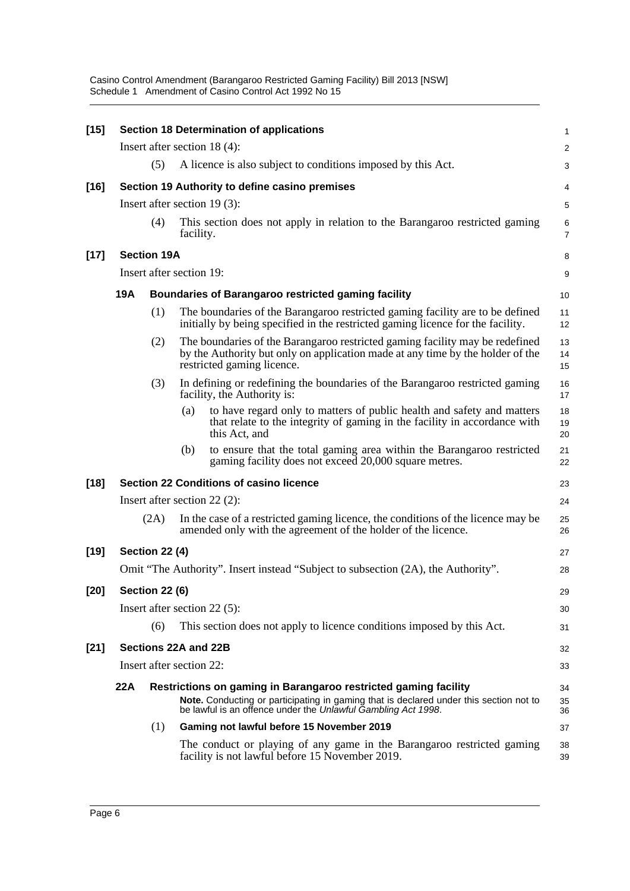| $[15]$ |            |                       | <b>Section 18 Determination of applications</b>                                                                                                                                                                            | 1                   |
|--------|------------|-----------------------|----------------------------------------------------------------------------------------------------------------------------------------------------------------------------------------------------------------------------|---------------------|
|        |            |                       | Insert after section $18(4)$ :                                                                                                                                                                                             | 2                   |
|        |            | (5)                   | A licence is also subject to conditions imposed by this Act.                                                                                                                                                               | 3                   |
| $[16]$ |            |                       | Section 19 Authority to define casino premises                                                                                                                                                                             | 4                   |
|        |            |                       | Insert after section $19(3)$ :                                                                                                                                                                                             | 5                   |
|        |            | (4)                   | This section does not apply in relation to the Barangaroo restricted gaming<br>facility.                                                                                                                                   | 6<br>$\overline{7}$ |
| $[17]$ |            | <b>Section 19A</b>    |                                                                                                                                                                                                                            | 8                   |
|        |            |                       | Insert after section 19:                                                                                                                                                                                                   | 9                   |
|        | <b>19A</b> |                       | <b>Boundaries of Barangaroo restricted gaming facility</b>                                                                                                                                                                 | 10                  |
|        |            | (1)                   | The boundaries of the Barangaroo restricted gaming facility are to be defined<br>initially by being specified in the restricted gaming licence for the facility.                                                           | 11<br>12            |
|        |            | (2)                   | The boundaries of the Barangaroo restricted gaming facility may be redefined<br>by the Authority but only on application made at any time by the holder of the<br>restricted gaming licence.                               | 13<br>14<br>15      |
|        |            | (3)                   | In defining or redefining the boundaries of the Barangaroo restricted gaming<br>facility, the Authority is:                                                                                                                | 16<br>17            |
|        |            |                       | to have regard only to matters of public health and safety and matters<br>(a)<br>that relate to the integrity of gaming in the facility in accordance with<br>this Act, and                                                | 18<br>19<br>20      |
|        |            |                       | to ensure that the total gaming area within the Barangaroo restricted<br>(b)<br>gaming facility does not exceed 20,000 square metres.                                                                                      | 21<br>22            |
| $[18]$ |            |                       | <b>Section 22 Conditions of casino licence</b>                                                                                                                                                                             | 23                  |
|        |            |                       | Insert after section $22(2)$ :                                                                                                                                                                                             | 24                  |
|        |            | (2A)                  | In the case of a restricted gaming licence, the conditions of the licence may be<br>amended only with the agreement of the holder of the licence.                                                                          | 25<br>26            |
| $[19]$ |            | <b>Section 22 (4)</b> |                                                                                                                                                                                                                            | 27                  |
|        |            |                       | Omit "The Authority". Insert instead "Subject to subsection (2A), the Authority".                                                                                                                                          | 28                  |
| $[20]$ |            | <b>Section 22 (6)</b> |                                                                                                                                                                                                                            | 29                  |
|        |            |                       | Insert after section $22(5)$ :                                                                                                                                                                                             | 30                  |
|        |            | (6)                   | This section does not apply to licence conditions imposed by this Act.                                                                                                                                                     | 31                  |
| $[21]$ |            |                       | Sections 22A and 22B                                                                                                                                                                                                       | 32                  |
|        |            |                       | Insert after section 22:                                                                                                                                                                                                   | 33                  |
|        | 22A        |                       | Restrictions on gaming in Barangaroo restricted gaming facility<br>Note. Conducting or participating in gaming that is declared under this section not to<br>be lawful is an offence under the Unlawful Gambling Act 1998. | 34<br>35            |
|        |            | (1)                   | Gaming not lawful before 15 November 2019                                                                                                                                                                                  | 36<br>37            |
|        |            |                       | The conduct or playing of any game in the Barangaroo restricted gaming<br>facility is not lawful before 15 November 2019.                                                                                                  | 38<br>39            |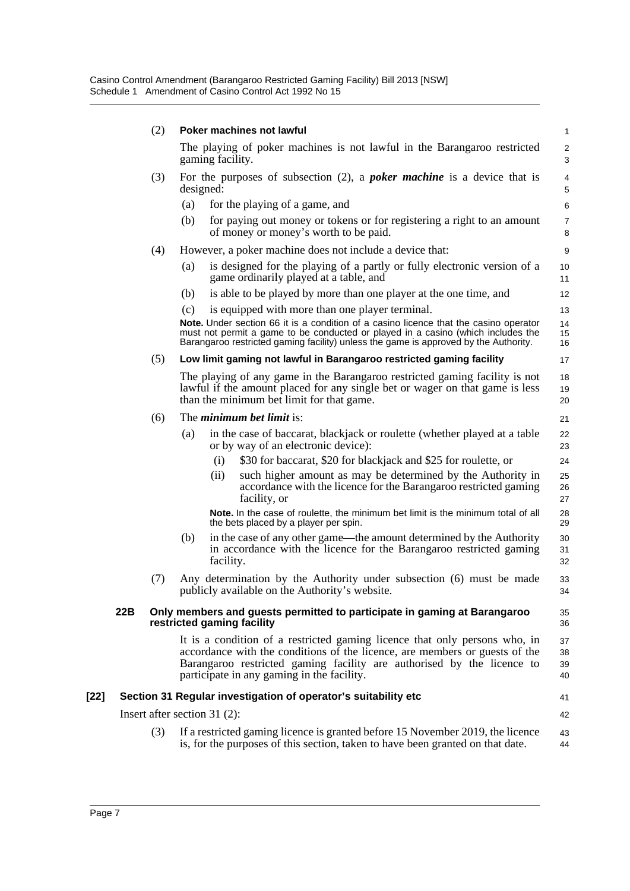Casino Control Amendment (Barangaroo Restricted Gaming Facility) Bill 2013 [NSW] Schedule 1 Amendment of Casino Control Act 1992 No 15

|      |     | (2) | Poker machines not lawful                                                                                                                                                                                                                                                         | 1                    |
|------|-----|-----|-----------------------------------------------------------------------------------------------------------------------------------------------------------------------------------------------------------------------------------------------------------------------------------|----------------------|
|      |     |     | The playing of poker machines is not lawful in the Barangaroo restricted<br>gaming facility.                                                                                                                                                                                      | $\overline{c}$<br>3  |
|      |     | (3) | For the purposes of subsection $(2)$ , a <i>poker machine</i> is a device that is<br>designed:                                                                                                                                                                                    | 4<br>5               |
|      |     |     | for the playing of a game, and<br>(a)                                                                                                                                                                                                                                             | 6                    |
|      |     |     | (b)<br>for paying out money or tokens or for registering a right to an amount<br>of money or money's worth to be paid.                                                                                                                                                            | $\overline{7}$<br>8  |
|      |     | (4) | However, a poker machine does not include a device that:                                                                                                                                                                                                                          | 9                    |
|      |     |     | is designed for the playing of a partly or fully electronic version of a<br>(a)<br>game ordinarily played at a table, and                                                                                                                                                         | 10<br>11             |
|      |     |     | is able to be played by more than one player at the one time, and<br>(b)                                                                                                                                                                                                          | 12                   |
|      |     |     | (c)<br>is equipped with more than one player terminal.                                                                                                                                                                                                                            | 13                   |
|      |     |     | <b>Note.</b> Under section 66 it is a condition of a casino licence that the casino operator<br>must not permit a game to be conducted or played in a casino (which includes the<br>Barangaroo restricted gaming facility) unless the game is approved by the Authority.          | 14<br>15<br>16       |
|      |     | (5) | Low limit gaming not lawful in Barangaroo restricted gaming facility                                                                                                                                                                                                              | 17                   |
|      |     |     | The playing of any game in the Barangaroo restricted gaming facility is not<br>lawful if the amount placed for any single bet or wager on that game is less<br>than the minimum bet limit for that game.                                                                          | 18<br>19<br>20       |
|      |     | (6) | The <i>minimum bet limit</i> is:                                                                                                                                                                                                                                                  | 21                   |
|      |     |     | in the case of baccarat, blackjack or roulette (whether played at a table<br>(a)<br>or by way of an electronic device):                                                                                                                                                           | 22<br>23             |
|      |     |     | \$30 for baccarat, \$20 for blackjack and \$25 for roulette, or<br>(i)                                                                                                                                                                                                            | 24                   |
|      |     |     | such higher amount as may be determined by the Authority in<br>(ii)<br>accordance with the licence for the Barangaroo restricted gaming<br>facility, or                                                                                                                           | 25<br>26<br>27       |
|      |     |     | Note. In the case of roulette, the minimum bet limit is the minimum total of all<br>the bets placed by a player per spin.                                                                                                                                                         | 28<br>29             |
|      |     |     | (b)<br>in the case of any other game—the amount determined by the Authority<br>in accordance with the licence for the Barangaroo restricted gaming<br>facility.                                                                                                                   | 30<br>31<br>32       |
|      |     | (7) | Any determination by the Authority under subsection (6) must be made<br>publicly available on the Authority's website.                                                                                                                                                            | 33<br>34             |
|      | 22B |     | Only members and guests permitted to participate in gaming at Barangaroo<br>restricted gaming facility                                                                                                                                                                            | 35<br>36             |
|      |     |     | It is a condition of a restricted gaming licence that only persons who, in<br>accordance with the conditions of the licence, are members or guests of the<br>Barangaroo restricted gaming facility are authorised by the licence to<br>participate in any gaming in the facility. | 37<br>38<br>39<br>40 |
| [22] |     |     | Section 31 Regular investigation of operator's suitability etc                                                                                                                                                                                                                    | 41                   |
|      |     |     | Insert after section $31(2)$ :                                                                                                                                                                                                                                                    | 42                   |
|      |     | (3) | If a restricted gaming licence is granted before 15 November 2019, the licence<br>is, for the purposes of this section, taken to have been granted on that date.                                                                                                                  | 43<br>44             |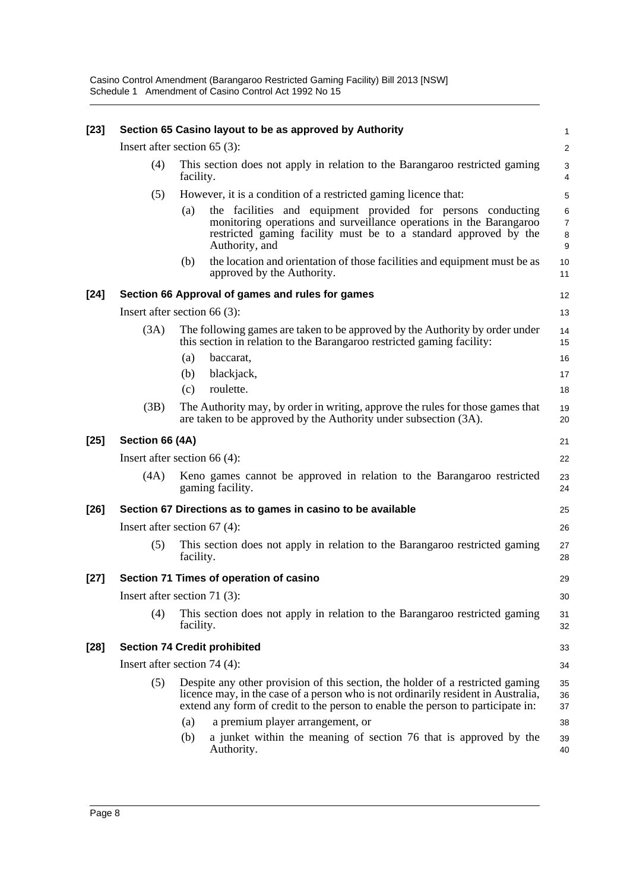| $[23]$ |                 | Section 65 Casino layout to be as approved by Authority                                                                                                                                                                                                                                                                                                                       | 1                                   |
|--------|-----------------|-------------------------------------------------------------------------------------------------------------------------------------------------------------------------------------------------------------------------------------------------------------------------------------------------------------------------------------------------------------------------------|-------------------------------------|
|        |                 | Insert after section $65$ (3):                                                                                                                                                                                                                                                                                                                                                | $\sqrt{2}$                          |
|        | (4)             | This section does not apply in relation to the Barangaroo restricted gaming<br>facility.                                                                                                                                                                                                                                                                                      | 3<br>4                              |
|        | (5)             | However, it is a condition of a restricted gaming licence that:                                                                                                                                                                                                                                                                                                               | 5                                   |
|        |                 | the facilities and equipment provided for persons conducting<br>(a)<br>monitoring operations and surveillance operations in the Barangaroo<br>restricted gaming facility must be to a standard approved by the<br>Authority, and                                                                                                                                              | $\,6$<br>$\boldsymbol{7}$<br>8<br>9 |
|        |                 | the location and orientation of those facilities and equipment must be as<br>(b)<br>approved by the Authority.                                                                                                                                                                                                                                                                | 10<br>11                            |
| $[24]$ |                 | Section 66 Approval of games and rules for games                                                                                                                                                                                                                                                                                                                              | 12                                  |
|        |                 | Insert after section $66(3)$ :                                                                                                                                                                                                                                                                                                                                                | 13                                  |
|        | (3A)            | The following games are taken to be approved by the Authority by order under<br>this section in relation to the Barangaroo restricted gaming facility:                                                                                                                                                                                                                        | 14<br>15                            |
|        |                 | (a)<br>baccarat,                                                                                                                                                                                                                                                                                                                                                              | 16                                  |
|        |                 | blackjack,<br>(b)<br>roulette.                                                                                                                                                                                                                                                                                                                                                | 17                                  |
|        |                 | (c)                                                                                                                                                                                                                                                                                                                                                                           | 18                                  |
|        | (3B)            | The Authority may, by order in writing, approve the rules for those games that<br>are taken to be approved by the Authority under subsection (3A).                                                                                                                                                                                                                            | 19<br>20                            |
| $[25]$ | Section 66 (4A) |                                                                                                                                                                                                                                                                                                                                                                               | 21                                  |
|        |                 | Insert after section $66(4)$ :                                                                                                                                                                                                                                                                                                                                                | 22                                  |
|        | (4A)            | Keno games cannot be approved in relation to the Barangaroo restricted<br>gaming facility.                                                                                                                                                                                                                                                                                    | 23<br>24                            |
| $[26]$ |                 | Section 67 Directions as to games in casino to be available                                                                                                                                                                                                                                                                                                                   | 25                                  |
|        |                 | Insert after section $67(4)$ :                                                                                                                                                                                                                                                                                                                                                | 26                                  |
|        | (5)             | This section does not apply in relation to the Barangaroo restricted gaming<br>facility.                                                                                                                                                                                                                                                                                      | 27<br>28                            |
| $[27]$ |                 | Section 71 Times of operation of casino                                                                                                                                                                                                                                                                                                                                       | 29                                  |
|        |                 | Insert after section 71 $(3)$ :                                                                                                                                                                                                                                                                                                                                               | 30                                  |
|        | (4)             | This section does not apply in relation to the Barangaroo restricted gaming<br>facility.                                                                                                                                                                                                                                                                                      | 31<br>32                            |
| $[28]$ |                 | <b>Section 74 Credit prohibited</b>                                                                                                                                                                                                                                                                                                                                           | 33                                  |
|        |                 | Insert after section 74 $(4)$ :                                                                                                                                                                                                                                                                                                                                               | 34                                  |
|        | (5)             | Despite any other provision of this section, the holder of a restricted gaming<br>licence may, in the case of a person who is not ordinarily resident in Australia,<br>extend any form of credit to the person to enable the person to participate in:<br>a premium player arrangement, or<br>(a)<br>(b)<br>a junket within the meaning of section 76 that is approved by the | 35<br>36<br>37<br>38<br>39          |
|        |                 | Authority.                                                                                                                                                                                                                                                                                                                                                                    | 40                                  |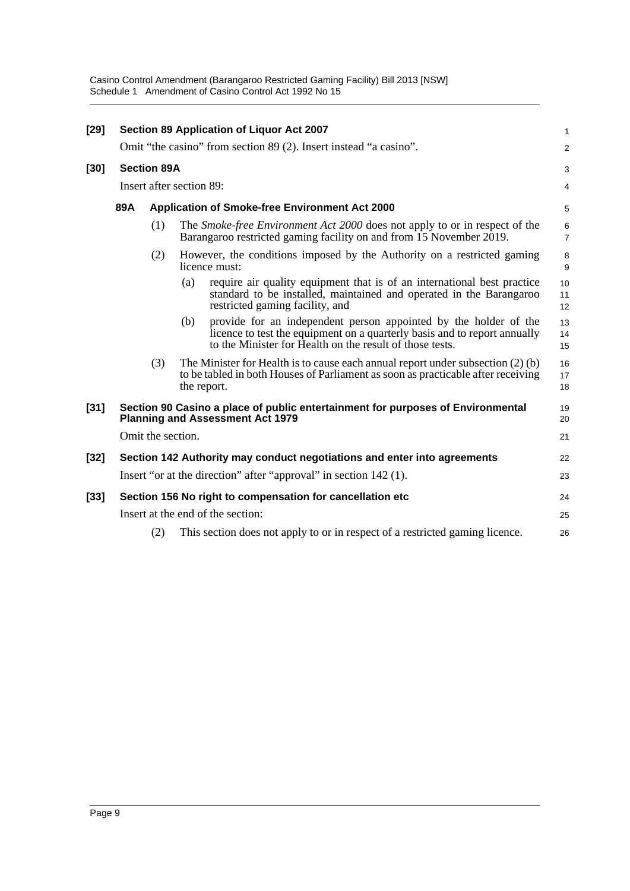Casino Control Amendment (Barangaroo Restricted Gaming Facility) Bill 2013 [NSW] Schedule 1 Amendment of Casino Control Act 1992 No 15

| $[29]$ |     |                    | Section 89 Application of Liquor Act 2007                                                                                                                                                                        | 1                   |
|--------|-----|--------------------|------------------------------------------------------------------------------------------------------------------------------------------------------------------------------------------------------------------|---------------------|
|        |     |                    | Omit "the casino" from section 89 (2). Insert instead "a casino".                                                                                                                                                | $\overline{2}$      |
| $[30]$ |     | <b>Section 89A</b> |                                                                                                                                                                                                                  | 3                   |
|        |     |                    | Insert after section 89:                                                                                                                                                                                         | 4                   |
|        | 89A |                    | <b>Application of Smoke-free Environment Act 2000</b>                                                                                                                                                            | 5                   |
|        |     | (1)                | The Smoke-free Environment Act 2000 does not apply to or in respect of the<br>Barangaroo restricted gaming facility on and from 15 November 2019.                                                                | 6<br>$\overline{7}$ |
|        |     | (2)                | However, the conditions imposed by the Authority on a restricted gaming<br>licence must:                                                                                                                         | 8<br>9              |
|        |     |                    | require air quality equipment that is of an international best practice<br>(a)<br>standard to be installed, maintained and operated in the Barangaroo<br>restricted gaming facility, and                         | 10<br>11<br>12      |
|        |     |                    | provide for an independent person appointed by the holder of the<br>(b)<br>licence to test the equipment on a quarterly basis and to report annually<br>to the Minister for Health on the result of those tests. | 13<br>14<br>15      |
|        |     | (3)                | The Minister for Health is to cause each annual report under subsection (2) (b)<br>to be tabled in both Houses of Parliament as soon as practicable after receiving<br>the report.                               | 16<br>17<br>18      |
| $[31]$ |     |                    | Section 90 Casino a place of public entertainment for purposes of Environmental<br><b>Planning and Assessment Act 1979</b>                                                                                       | 19<br>20            |
|        |     | Omit the section.  |                                                                                                                                                                                                                  | 21                  |
| $[32]$ |     |                    | Section 142 Authority may conduct negotiations and enter into agreements                                                                                                                                         | 22                  |
|        |     |                    | Insert "or at the direction" after "approval" in section 142 (1).                                                                                                                                                | 23                  |
| $[33]$ |     |                    | Section 156 No right to compensation for cancellation etc                                                                                                                                                        | 24                  |
|        |     |                    | Insert at the end of the section:                                                                                                                                                                                | 25                  |
|        |     | (2)                | This section does not apply to or in respect of a restricted gaming licence.                                                                                                                                     | 26                  |